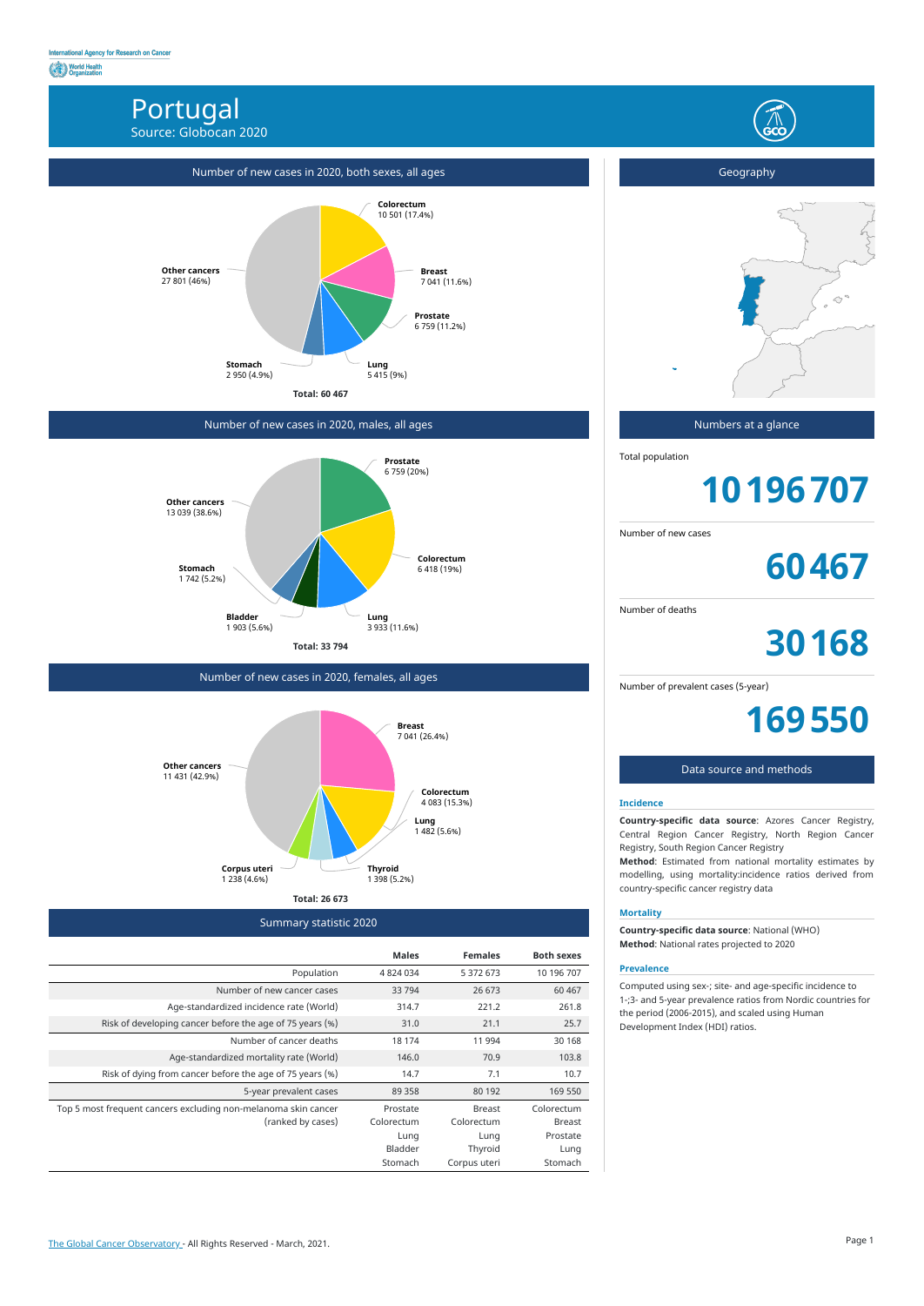# Portugal Source: Globocan 2020



Summary statistic 2020

|                                                                | <b>Males</b> | <b>Females</b> | <b>Both sexes</b> |
|----------------------------------------------------------------|--------------|----------------|-------------------|
| Population                                                     | 4 824 034    | 5 372 673      | 10 196 707        |
| Number of new cancer cases                                     | 33 794       | 26 673         | 60 4 67           |
| Age-standardized incidence rate (World)                        | 314.7        | 221.2          | 261.8             |
| Risk of developing cancer before the age of 75 years (%)       | 31.0         | 21.1           | 25.7              |
| Number of cancer deaths                                        | 18 174       | 11 994         | 30 1 68           |
| Age-standardized mortality rate (World)                        | 146.0        | 70.9           | 103.8             |
| Risk of dying from cancer before the age of 75 years (%)       | 14.7         | 7.1            | 10.7              |
| 5-year prevalent cases                                         | 89 358       | 80 192         | 169 550           |
| Top 5 most frequent cancers excluding non-melanoma skin cancer | Prostate     | <b>Breast</b>  | Colorectum        |
| (ranked by cases)                                              | Colorectum   | Colorectum     | <b>Breast</b>     |
|                                                                | Lung         | Lung           | Prostate          |
|                                                                | Bladder      | Thyroid        | Lung              |
|                                                                | Stomach      | Corpus uteri   | Stomach           |

# Number of new cases in 2020, both sexes, all ages



## Number of new cases in 2020, males, all ages



Number of new cases in 2020, females, all ages





## Numbers at a glance

Total population

# **10196707**

Number of new cases

**60467**

Number of deaths

**30168**

Number of prevalent cases (5-year)

**169550**

#### Data source and methods

#### **Incidence**

**Country-specific data source**: Azores Cancer Registry, Central Region Cancer Registry, North Region Cancer Registry, South Region Cancer Registry

**Method**: Estimated from national mortality estimates by modelling, using mortality:incidence ratios derived from country-specific cancer registry data

#### **Mortality**

**Country-specific data source**: National (WHO) **Method**: National rates projected to 2020

#### **Prevalence**

Computed using sex-; site- and age-specific incidence to 1-;3- and 5-year prevalence ratios from Nordic countries for the period (2006-2015), and scaled using Human Development Index (HDI) ratios.